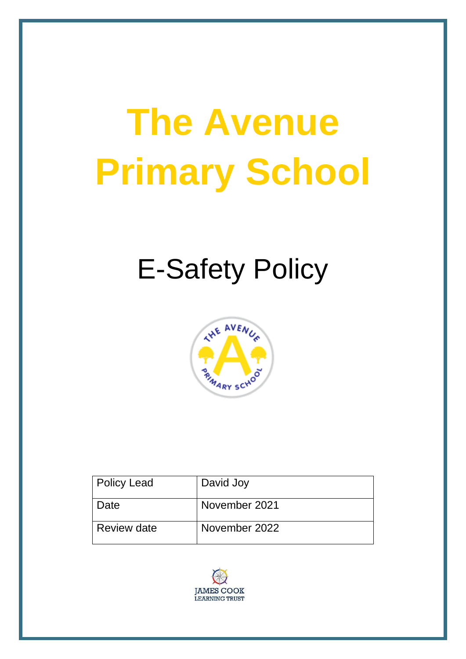# **The Avenue Primary School**

# E-Safety Policy



| Policy Lead        | David Joy     |
|--------------------|---------------|
| Date               | November 2021 |
| <b>Review date</b> | November 2022 |

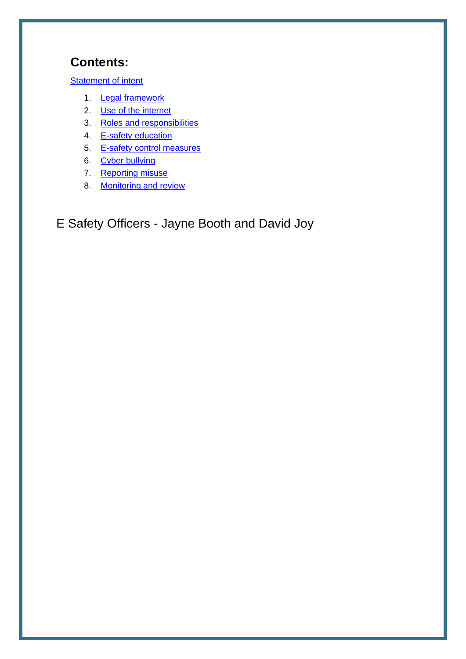# **Contents:**

**[Statement of intent](#page-2-0)** 

- 1. [Legal framework](#page-3-0)
- 2. [Use of the internet](#page-3-1)
- 3. [Roles and responsibilities](#page-4-0)
- 4. [E-safety education](#page-5-0)
- 5. [E-safety control measures](#page-7-0)
- 6. [Cyber bullying](#page-10-0)
- 7. [Reporting misuse](#page-11-0)
- 8. [Monitoring and review](#page-12-0)
- E Safety Officers Jayne Booth and David Joy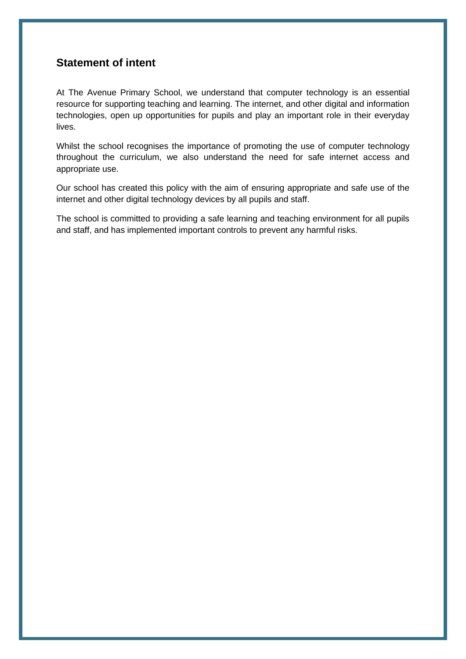#### <span id="page-2-0"></span>**Statement of intent**

At The Avenue Primary School, we understand that computer technology is an essential resource for supporting teaching and learning. The internet, and other digital and information technologies, open up opportunities for pupils and play an important role in their everyday lives.

Whilst the school recognises the importance of promoting the use of computer technology throughout the curriculum, we also understand the need for safe internet access and appropriate use.

Our school has created this policy with the aim of ensuring appropriate and safe use of the internet and other digital technology devices by all pupils and staff.

The school is committed to providing a safe learning and teaching environment for all pupils and staff, and has implemented important controls to prevent any harmful risks.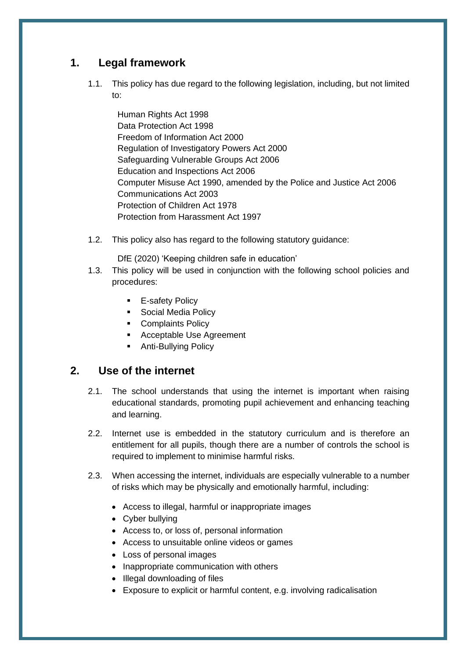# <span id="page-3-0"></span>**1. Legal framework**

1.1. This policy has due regard to the following legislation, including, but not limited to:

Human Rights Act 1998 Data Protection Act 1998 Freedom of Information Act 2000 Regulation of Investigatory Powers Act 2000 Safeguarding Vulnerable Groups Act 2006 Education and Inspections Act 2006 Computer Misuse Act 1990, amended by the Police and Justice Act 2006 Communications Act 2003 Protection of Children Act 1978 Protection from Harassment Act 1997

1.2. This policy also has regard to the following statutory guidance:

DfE (2020) 'Keeping children safe in education'

- 1.3. This policy will be used in conjunction with the following school policies and procedures:
	- **E**-safety Policy
	- Social Media Policy
	- Complaints Policy
	- Acceptable Use Agreement
	- Anti-Bullying Policy

#### <span id="page-3-1"></span>**2. Use of the internet**

- 2.1. The school understands that using the internet is important when raising educational standards, promoting pupil achievement and enhancing teaching and learning.
- 2.2. Internet use is embedded in the statutory curriculum and is therefore an entitlement for all pupils, though there are a number of controls the school is required to implement to minimise harmful risks.
- 2.3. When accessing the internet, individuals are especially vulnerable to a number of risks which may be physically and emotionally harmful, including:
	- Access to illegal, harmful or inappropriate images
	- Cyber bullying
	- Access to, or loss of, personal information
	- Access to unsuitable online videos or games
	- Loss of personal images
	- Inappropriate communication with others
	- Illegal downloading of files
	- Exposure to explicit or harmful content, e.g. involving radicalisation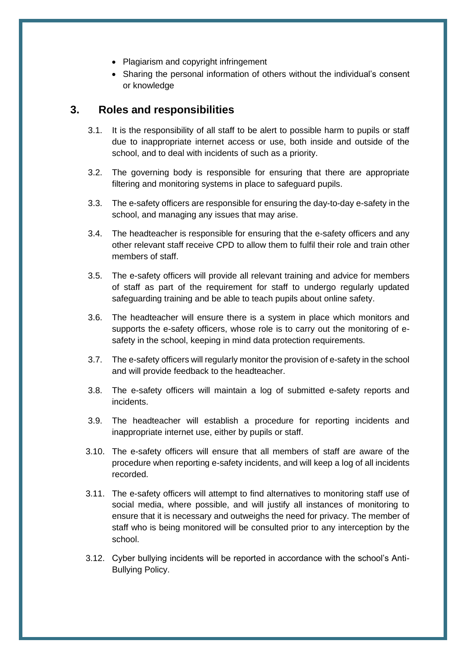- Plagiarism and copyright infringement
- Sharing the personal information of others without the individual's consent or knowledge

#### <span id="page-4-0"></span>**3. Roles and responsibilities**

- 3.1. It is the responsibility of all staff to be alert to possible harm to pupils or staff due to inappropriate internet access or use, both inside and outside of the school, and to deal with incidents of such as a priority.
- 3.2. The governing body is responsible for ensuring that there are appropriate filtering and monitoring systems in place to safeguard pupils.
- 3.3. The e-safety officers are responsible for ensuring the day-to-day e-safety in the school, and managing any issues that may arise.
- 3.4. The headteacher is responsible for ensuring that the e-safety officers and any other relevant staff receive CPD to allow them to fulfil their role and train other members of staff.
- 3.5. The e-safety officers will provide all relevant training and advice for members of staff as part of the requirement for staff to undergo regularly updated safeguarding training and be able to teach pupils about online safety.
- 3.6. The headteacher will ensure there is a system in place which monitors and supports the e-safety officers, whose role is to carry out the monitoring of esafety in the school, keeping in mind data protection requirements.
- 3.7. The e-safety officers will regularly monitor the provision of e-safety in the school and will provide feedback to the headteacher.
- 3.8. The e-safety officers will maintain a log of submitted e-safety reports and incidents.
- 3.9. The headteacher will establish a procedure for reporting incidents and inappropriate internet use, either by pupils or staff.
- 3.10. The e-safety officers will ensure that all members of staff are aware of the procedure when reporting e-safety incidents, and will keep a log of all incidents recorded.
- 3.11. The e-safety officers will attempt to find alternatives to monitoring staff use of social media, where possible, and will justify all instances of monitoring to ensure that it is necessary and outweighs the need for privacy. The member of staff who is being monitored will be consulted prior to any interception by the school.
- 3.12. Cyber bullying incidents will be reported in accordance with the school's Anti-Bullying Policy.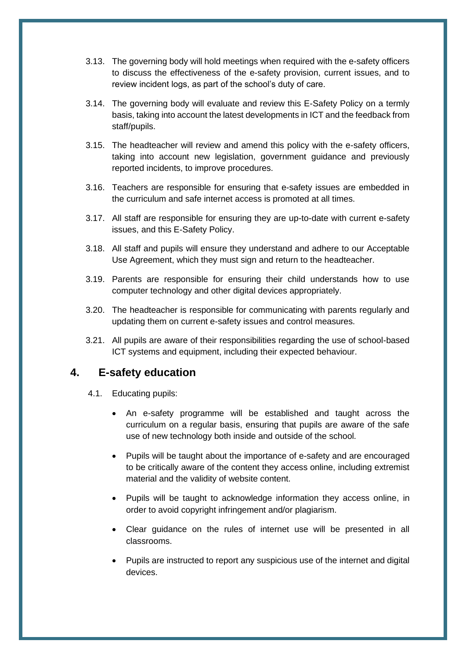- 3.13. The governing body will hold meetings when required with the e-safety officers to discuss the effectiveness of the e-safety provision, current issues, and to review incident logs, as part of the school's duty of care.
- 3.14. The governing body will evaluate and review this E-Safety Policy on a termly basis, taking into account the latest developments in ICT and the feedback from staff/pupils.
- 3.15. The headteacher will review and amend this policy with the e-safety officers, taking into account new legislation, government guidance and previously reported incidents, to improve procedures.
- 3.16. Teachers are responsible for ensuring that e-safety issues are embedded in the curriculum and safe internet access is promoted at all times.
- 3.17. All staff are responsible for ensuring they are up-to-date with current e-safety issues, and this E-Safety Policy.
- 3.18. All staff and pupils will ensure they understand and adhere to our Acceptable Use Agreement, which they must sign and return to the headteacher.
- 3.19. Parents are responsible for ensuring their child understands how to use computer technology and other digital devices appropriately.
- 3.20. The headteacher is responsible for communicating with parents regularly and updating them on current e-safety issues and control measures.
- 3.21. All pupils are aware of their responsibilities regarding the use of school-based ICT systems and equipment, including their expected behaviour.

#### <span id="page-5-0"></span>**4. E-safety education**

- 4.1. Educating pupils:
	- An e-safety programme will be established and taught across the curriculum on a regular basis, ensuring that pupils are aware of the safe use of new technology both inside and outside of the school.
	- Pupils will be taught about the importance of e-safety and are encouraged to be critically aware of the content they access online, including extremist material and the validity of website content.
	- Pupils will be taught to acknowledge information they access online, in order to avoid copyright infringement and/or plagiarism.
	- Clear guidance on the rules of internet use will be presented in all classrooms.
	- Pupils are instructed to report any suspicious use of the internet and digital devices.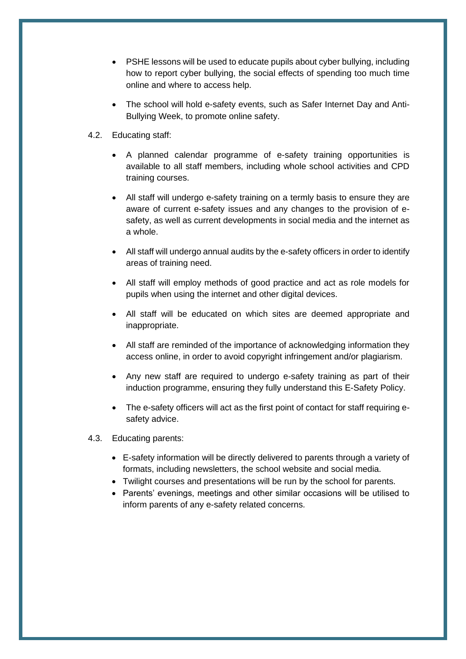- PSHE lessons will be used to educate pupils about cyber bullying, including how to report cyber bullying, the social effects of spending too much time online and where to access help.
- The school will hold e-safety events, such as Safer Internet Day and Anti-Bullying Week, to promote online safety.
- 4.2. Educating staff:
	- A planned calendar programme of e-safety training opportunities is available to all staff members, including whole school activities and CPD training courses.
	- All staff will undergo e-safety training on a termly basis to ensure they are aware of current e-safety issues and any changes to the provision of esafety, as well as current developments in social media and the internet as a whole.
	- All staff will undergo annual audits by the e-safety officers in order to identify areas of training need.
	- All staff will employ methods of good practice and act as role models for pupils when using the internet and other digital devices.
	- All staff will be educated on which sites are deemed appropriate and inappropriate.
	- All staff are reminded of the importance of acknowledging information they access online, in order to avoid copyright infringement and/or plagiarism.
	- Any new staff are required to undergo e-safety training as part of their induction programme, ensuring they fully understand this E-Safety Policy.
	- The e-safety officers will act as the first point of contact for staff requiring esafety advice.
- 4.3. Educating parents:
	- E-safety information will be directly delivered to parents through a variety of formats, including newsletters, the school website and social media.
	- Twilight courses and presentations will be run by the school for parents.
	- Parents' evenings, meetings and other similar occasions will be utilised to inform parents of any e-safety related concerns.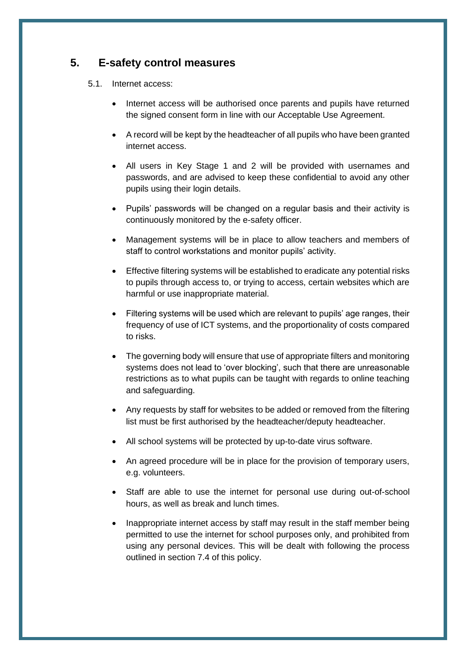#### <span id="page-7-0"></span>**5. E-safety control measures**

- 5.1. Internet access:
	- Internet access will be authorised once parents and pupils have returned the signed consent form in line with our Acceptable Use Agreement.
	- A record will be kept by the headteacher of all pupils who have been granted internet access.
	- All users in Key Stage 1 and 2 will be provided with usernames and passwords, and are advised to keep these confidential to avoid any other pupils using their login details.
	- Pupils' passwords will be changed on a regular basis and their activity is continuously monitored by the e-safety officer.
	- Management systems will be in place to allow teachers and members of staff to control workstations and monitor pupils' activity.
	- Effective filtering systems will be established to eradicate any potential risks to pupils through access to, or trying to access, certain websites which are harmful or use inappropriate material.
	- Filtering systems will be used which are relevant to pupils' age ranges, their frequency of use of ICT systems, and the proportionality of costs compared to risks.
	- The governing body will ensure that use of appropriate filters and monitoring systems does not lead to 'over blocking', such that there are unreasonable restrictions as to what pupils can be taught with regards to online teaching and safeguarding.
	- Any requests by staff for websites to be added or removed from the filtering list must be first authorised by the headteacher/deputy headteacher.
	- All school systems will be protected by up-to-date virus software.
	- An agreed procedure will be in place for the provision of temporary users, e.g. volunteers.
	- Staff are able to use the internet for personal use during out-of-school hours, as well as break and lunch times.
	- Inappropriate internet access by staff may result in the staff member being permitted to use the internet for school purposes only, and prohibited from using any personal devices. This will be dealt with following the process outlined in section [7.4](file:///C:/Users/kieran.bamford/Downloads/E-Safety_Policy_2017023%20(1).docx%23A) of this policy.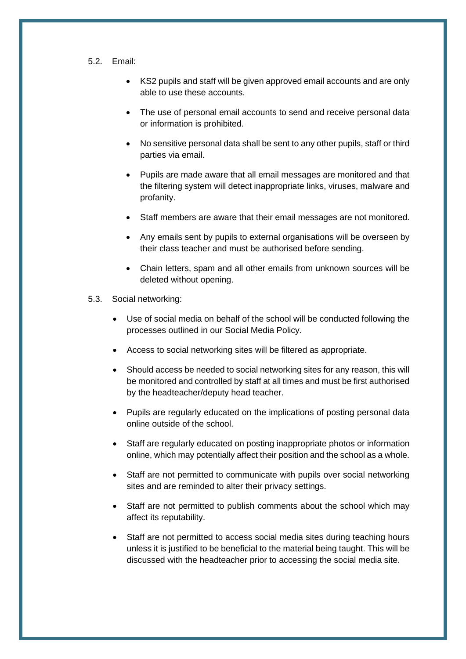- 5.2. Email:
	- KS2 pupils and staff will be given approved email accounts and are only able to use these accounts.
	- The use of personal email accounts to send and receive personal data or information is prohibited.
	- No sensitive personal data shall be sent to any other pupils, staff or third parties via email.
	- Pupils are made aware that all email messages are monitored and that the filtering system will detect inappropriate links, viruses, malware and profanity.
	- Staff members are aware that their email messages are not monitored.
	- Any emails sent by pupils to external organisations will be overseen by their class teacher and must be authorised before sending.
	- Chain letters, spam and all other emails from unknown sources will be deleted without opening.
- 5.3. Social networking:
	- Use of social media on behalf of the school will be conducted following the processes outlined in our Social Media Policy.
	- Access to social networking sites will be filtered as appropriate.
	- Should access be needed to social networking sites for any reason, this will be monitored and controlled by staff at all times and must be first authorised by the headteacher/deputy head teacher.
	- Pupils are regularly educated on the implications of posting personal data online outside of the school.
	- Staff are regularly educated on posting inappropriate photos or information online, which may potentially affect their position and the school as a whole.
	- Staff are not permitted to communicate with pupils over social networking sites and are reminded to alter their privacy settings.
	- Staff are not permitted to publish comments about the school which may affect its reputability.
	- Staff are not permitted to access social media sites during teaching hours unless it is justified to be beneficial to the material being taught. This will be discussed with the headteacher prior to accessing the social media site.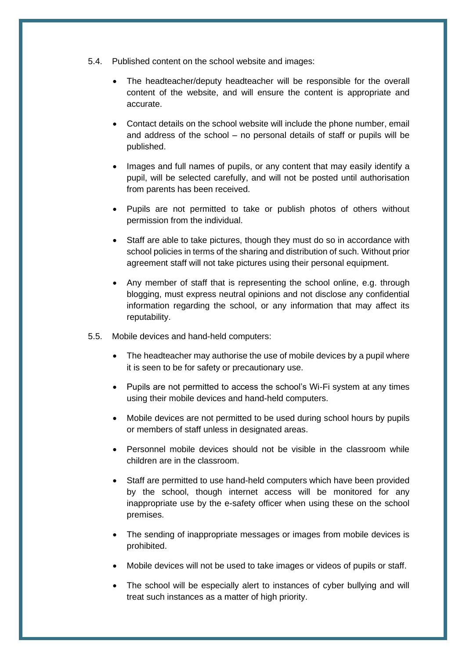- 5.4. Published content on the school website and images:
	- The headteacher/deputy headteacher will be responsible for the overall content of the website, and will ensure the content is appropriate and accurate.
	- Contact details on the school website will include the phone number, email and address of the school – no personal details of staff or pupils will be published.
	- Images and full names of pupils, or any content that may easily identify a pupil, will be selected carefully, and will not be posted until authorisation from parents has been received.
	- Pupils are not permitted to take or publish photos of others without permission from the individual.
	- Staff are able to take pictures, though they must do so in accordance with school policies in terms of the sharing and distribution of such. Without prior agreement staff will not take pictures using their personal equipment.
	- Any member of staff that is representing the school online, e.g. through blogging, must express neutral opinions and not disclose any confidential information regarding the school, or any information that may affect its reputability.
- 5.5. Mobile devices and hand-held computers:
	- The headteacher may authorise the use of mobile devices by a pupil where it is seen to be for safety or precautionary use.
	- Pupils are not permitted to access the school's Wi-Fi system at any times using their mobile devices and hand-held computers.
	- Mobile devices are not permitted to be used during school hours by pupils or members of staff unless in designated areas.
	- Personnel mobile devices should not be visible in the classroom while children are in the classroom.
	- Staff are permitted to use hand-held computers which have been provided by the school, though internet access will be monitored for any inappropriate use by the e-safety officer when using these on the school premises.
	- The sending of inappropriate messages or images from mobile devices is prohibited.
	- Mobile devices will not be used to take images or videos of pupils or staff.
	- The school will be especially alert to instances of cyber bullying and will treat such instances as a matter of high priority.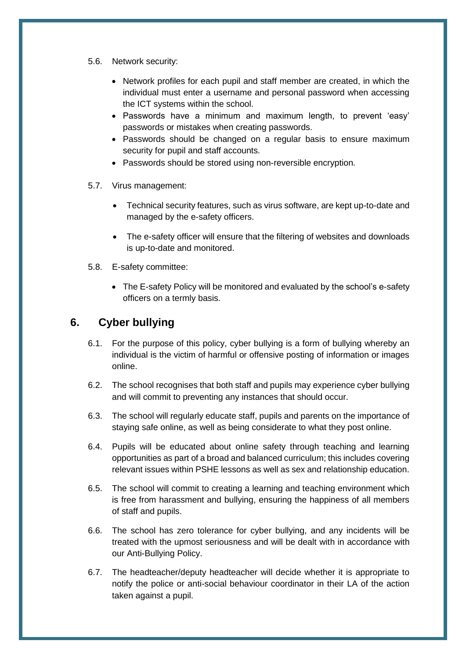- 5.6. Network security:
	- Network profiles for each pupil and staff member are created, in which the individual must enter a username and personal password when accessing the ICT systems within the school.
	- Passwords have a minimum and maximum length, to prevent 'easy' passwords or mistakes when creating passwords.
	- Passwords should be changed on a regular basis to ensure maximum security for pupil and staff accounts.
	- Passwords should be stored using non-reversible encryption.
- 5.7. Virus management:
	- Technical security features, such as virus software, are kept up-to-date and managed by the e-safety officers.
	- The e-safety officer will ensure that the filtering of websites and downloads is up-to-date and monitored.
- 5.8. E-safety committee:
	- The E-safety Policy will be monitored and evaluated by the school's e-safety officers on a termly basis.

#### <span id="page-10-0"></span>**6. Cyber bullying**

- 6.1. For the purpose of this policy, cyber bullying is a form of bullying whereby an individual is the victim of harmful or offensive posting of information or images online.
- 6.2. The school recognises that both staff and pupils may experience cyber bullying and will commit to preventing any instances that should occur.
- 6.3. The school will regularly educate staff, pupils and parents on the importance of staying safe online, as well as being considerate to what they post online.
- 6.4. Pupils will be educated about online safety through teaching and learning opportunities as part of a broad and balanced curriculum; this includes covering relevant issues within PSHE lessons as well as sex and relationship education.
- 6.5. The school will commit to creating a learning and teaching environment which is free from harassment and bullying, ensuring the happiness of all members of staff and pupils.
- 6.6. The school has zero tolerance for cyber bullying, and any incidents will be treated with the upmost seriousness and will be dealt with in accordance with our Anti-Bullying Policy.
- 6.7. The headteacher/deputy headteacher will decide whether it is appropriate to notify the police or anti-social behaviour coordinator in their LA of the action taken against a pupil.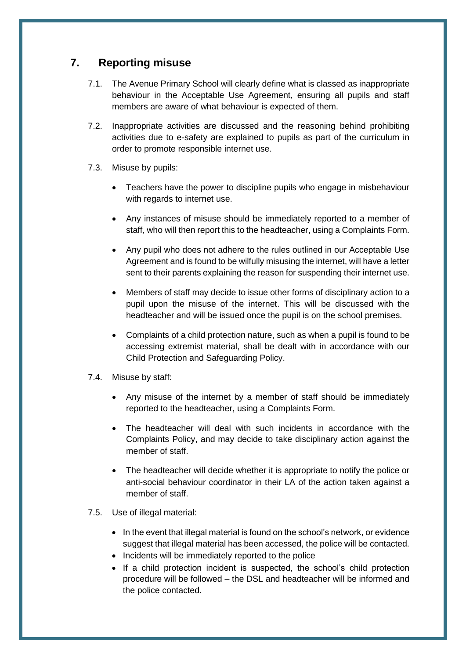# <span id="page-11-0"></span>**7. Reporting misuse**

- 7.1. The Avenue Primary School will clearly define what is classed as inappropriate behaviour in the Acceptable Use Agreement, ensuring all pupils and staff members are aware of what behaviour is expected of them.
- 7.2. Inappropriate activities are discussed and the reasoning behind prohibiting activities due to e-safety are explained to pupils as part of the curriculum in order to promote responsible internet use.
- 7.3. Misuse by pupils:
	- Teachers have the power to discipline pupils who engage in misbehaviour with regards to internet use.
	- Any instances of misuse should be immediately reported to a member of staff, who will then report this to the headteacher, using a Complaints Form.
	- Any pupil who does not adhere to the rules outlined in our Acceptable Use Agreement and is found to be wilfully misusing the internet, will have a letter sent to their parents explaining the reason for suspending their internet use.
	- Members of staff may decide to issue other forms of disciplinary action to a pupil upon the misuse of the internet. This will be discussed with the headteacher and will be issued once the pupil is on the school premises.
	- Complaints of a child protection nature, such as when a pupil is found to be accessing extremist material, shall be dealt with in accordance with our Child Protection and Safeguarding Policy.
- 7.4. Misuse by staff:
	- Any misuse of the internet by a member of staff should be immediately reported to the headteacher, using a Complaints Form.
	- The headteacher will deal with such incidents in accordance with the Complaints Policy, and may decide to take disciplinary action against the member of staff.
	- The headteacher will decide whether it is appropriate to notify the police or anti-social behaviour coordinator in their LA of the action taken against a member of staff.
- 7.5. Use of illegal material:
	- In the event that illegal material is found on the school's network, or evidence suggest that illegal material has been accessed, the police will be contacted.
	- Incidents will be immediately reported to the police
	- If a child protection incident is suspected, the school's child protection procedure will be followed – the DSL and headteacher will be informed and the police contacted.